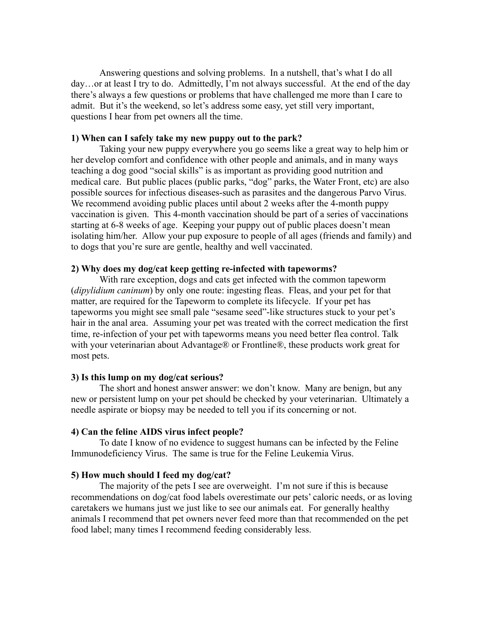Answering questions and solving problems. In a nutshell, that's what I do all day…or at least I try to do. Admittedly, I'm not always successful. At the end of the day there's always a few questions or problems that have challenged me more than I care to admit. But it's the weekend, so let's address some easy, yet still very important, questions I hear from pet owners all the time.

# **1) When can I safely take my new puppy out to the park?**

Taking your new puppy everywhere you go seems like a great way to help him or her develop comfort and confidence with other people and animals, and in many ways teaching a dog good "social skills" is as important as providing good nutrition and medical care. But public places (public parks, "dog" parks, the Water Front, etc) are also possible sources for infectious diseases-such as parasites and the dangerous Parvo Virus. We recommend avoiding public places until about 2 weeks after the 4-month puppy vaccination is given. This 4-month vaccination should be part of a series of vaccinations starting at 6-8 weeks of age. Keeping your puppy out of public places doesn't mean isolating him/her. Allow your pup exposure to people of all ages (friends and family) and to dogs that you're sure are gentle, healthy and well vaccinated.

# **2) Why does my dog/cat keep getting re-infected with tapeworms?**

With rare exception, dogs and cats get infected with the common tapeworm (*dipylidium caninum*) by only one route: ingesting fleas. Fleas, and your pet for that matter, are required for the Tapeworm to complete its lifecycle. If your pet has tapeworms you might see small pale "sesame seed"-like structures stuck to your pet's hair in the anal area. Assuming your pet was treated with the correct medication the first time, re-infection of your pet with tapeworms means you need better flea control. Talk with your veterinarian about Advantage® or Frontline®, these products work great for most pets.

#### **3) Is this lump on my dog/cat serious?**

The short and honest answer answer: we don't know. Many are benign, but any new or persistent lump on your pet should be checked by your veterinarian. Ultimately a needle aspirate or biopsy may be needed to tell you if its concerning or not.

#### **4) Can the feline AIDS virus infect people?**

To date I know of no evidence to suggest humans can be infected by the Feline Immunodeficiency Virus. The same is true for the Feline Leukemia Virus.

#### **5) How much should I feed my dog/cat?**

The majority of the pets I see are overweight. I'm not sure if this is because recommendations on dog/cat food labels overestimate our pets' caloric needs, or as loving caretakers we humans just we just like to see our animals eat. For generally healthy animals I recommend that pet owners never feed more than that recommended on the pet food label; many times I recommend feeding considerably less.